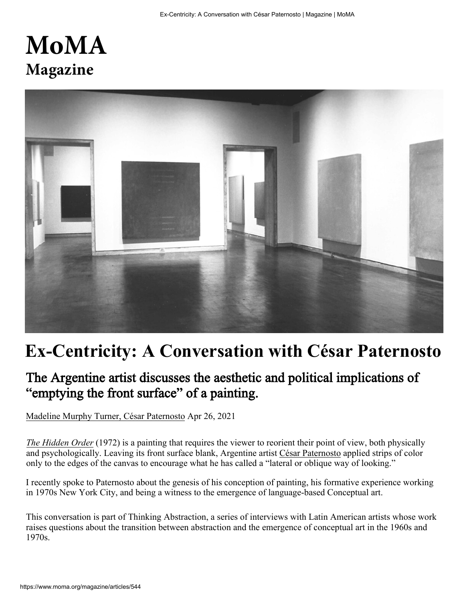# **MoMA Magazine**



# **Ex-[Centric](https://www.moma.org/artists/4517)ity: A Conversation with César Paternosto**

### The Argentine artist discusses the aesthetic and political implications of ["emptying the fron](https://www.moma.org/magazine/articles/548)t surface" of a painting.

Madeline Murphy Turner, César Paternosto Apr 26, 2021

*The Hidden Order* (1972) is a painting that requires the viewer to reorient their point of view, both physically and psychologically. Leaving its front surface blank, Argentine artist César Paternosto applied strips of color only to the edges of the canvas to encourage what he has called a "lateral or oblique way of looking."

I recently spoke to Paternosto about the genesis of his conception of painting, his formative experience working in 1970s New York City, and being a witness to the emergence of language-based Conceptual art.

This conversation is part of Thinking Abstraction, a series of interviews with Latin American artists whose work raises questions about the transition between abstraction and the emergence of conceptual art in the 1960s and 1970s.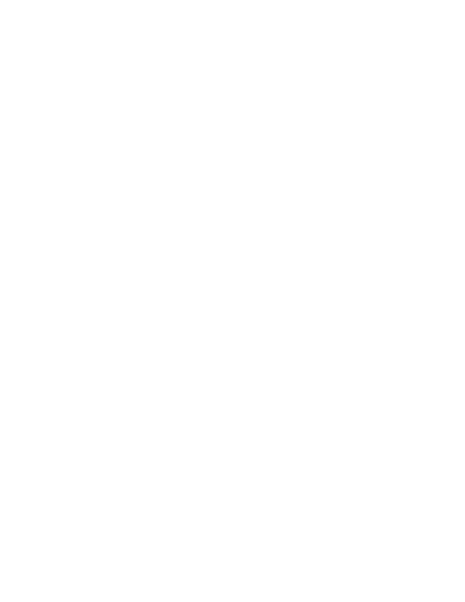### ₩  $P$ . . BHB[JOF



## Ex-Centricity: A Conversation with Csar Paternosto

#### The Argentine artist discusses the aesthetic and political implications of "emptying the front surface" of a painting.

**Madeline Murphy Turner, César Paternosto Apr 26, 2021** 

The Hidden Order (1972) is a painting that requires the viewer to reorient their point of view, both physically and psychologically. Leaving its front surface blankrgentine artist César Paternos applied strips of color only to the edges of the canvas to encourage what he has called a "lateral or oblique way of looking."

I recently spoke to Paternosto about the genesis of his conception of painting, his formative experience working in 1970s New York City, and being a witness to the mergence of language-based Conceptual art.

This conversation is part of Thinking Abstraction, a series of interviews with Latin American artists whose work raises questions about the transition between abstractional the emergence of conceptual art in the 1960s and 1970s.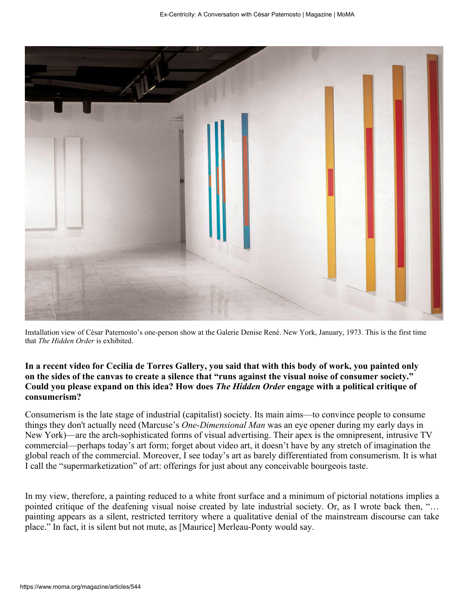

[Installation vie](https://www.ceciliadetorres.com/artists/enlarge/csar_paternosto/2138)w of César Paternosto's one-person show at the Galerie Denise René. New York, January, 1973. This is the first time that *The Hidden Order* is exhibited.

#### **In a recent video for Cecilia de Torres Gallery, you said that with this body of work, you painted only on the sides of the canvas to create a silence that "runs against the visual noise of consumer society." Could you please expand on this idea? How does** *The Hidden Order* **engage with a political critique of consumerism?**

Consumerism is the late stage of industrial (capitalist) society. Its main aims—to convince people to consume things they don't actually need (Marcuse's *One-Dimensional Man* was an eye opener during my early days in New York)—are the arch-sophisticated forms of visual advertising. Their apex is the omnipresent, intrusive TV commercial—perhaps today's art form; forget about video art, it doesn't have by any stretch of imagination the global reach of the commercial. Moreover, I see today's art as barely differentiated from consumerism. It is what I call the "supermarketization" of art: offerings for just about any conceivable bourgeois taste.

In my view, therefore, a painting reduced to a white front surface and a minimum of pictorial notations implies a pointed critique of the deafening visual noise created by late industrial society. Or, as I wrote back then, "… painting appears as a silent, restricted territory where a qualitative denial of the mainstream discourse can take place." In fact, it is silent but not mute, as [Maurice] Merleau-Ponty would say.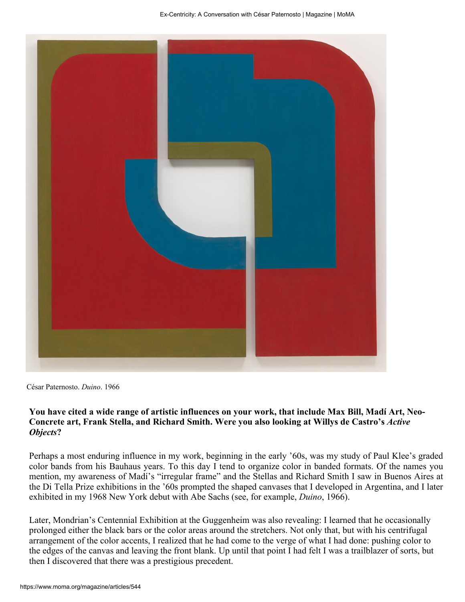

César Paternosto. *[Duino](https://www.moma.org/artists/8474)*. 1966

#### **You have cited a wide range of artistic influences on your work, that include Max Bill, Madí Art, Neo-Con[crete](https://www.moma.org/collection/works/79717) art, Frank Stella, and Richard Smith. Were you also looking at Willys de Castro's** *Active Objects***?**

Perhaps a most enduring influence in my work, beginning in the early '60s, was my study of Paul Klee's graded [color bands from his Bauhaus years. To this day I tend to](https://greyartgallery.nyu.edu/exhibition/geometry-of-hope-091207-120807/) organize color in banded formats. Of the names you mention, my awareness of Madí's "irregular frame" and the Stellas and Richard Smith I saw in Buenos Aires at the Di Tella Prize exhibitions in the '60s prompted the shaped canvases that I developed in Argentina, and I later exhibited in my 1968 New York debut with Abe Sachs (see, for example, *Duino*, 1966).

Later, Mondrian's Centennial Exhibition at the Guggenheim was also revealing: I learned that he occasionally prolonged either the black bars or the color areas around the stretchers. Not only that, but with his centrifugal arrangement of the color accents, I realized that he had come to the verge of what I had done: pushing color to the edges of the canvas and leaving the front blank. Up until that point I had felt I was a trailblazer of sorts, but then I discovered that there was a prestigious precedent.